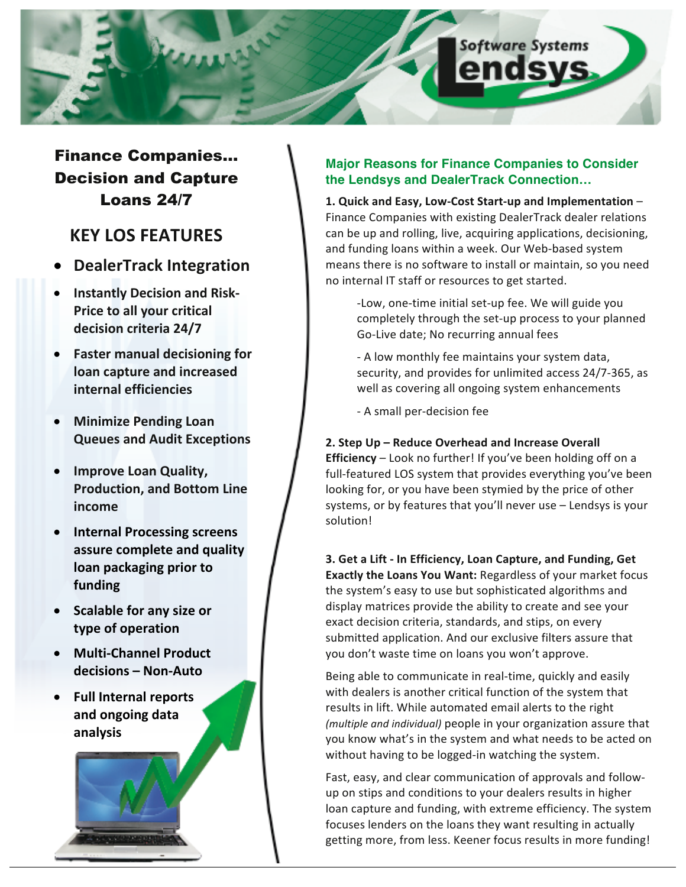

## Finance Companies… Decision and Capture Loans 24/7

## **KEY LOS FEATURES**

- **DealerTrack Integration**
- **Instantly Decision and Risk-Price to all your critical decision criteria 24/7**
- **Faster manual decisioning for loan capture and increased internal efficiencies**
- **Minimize Pending Loan Queues and Audit Exceptions**
- **•** Improve Loan Quality, **Production, and Bottom Line income**
- **•** Internal Processing screens **assure complete and quality loan packaging prior to funding**
- Scalable for any size or **type of operation**
- **•** Multi-Channel Product **decisions – Non-Auto**
- Full Internal reports and ongoing data **analysis**

## **Major Reasons for Finance Companies to Consider the Lendsys and DealerTrack Connection…**

1. Quick and Easy, Low-Cost Start-up and Implementation -Finance Companies with existing DealerTrack dealer relations can be up and rolling, live, acquiring applications, decisioning, and funding loans within a week. Our Web-based system means there is no software to install or maintain, so you need no internal IT staff or resources to get started.

- -Low, one-time initial set-up fee. We will guide you completely through the set-up process to your planned Go-Live date; No recurring annual fees
- A low monthly fee maintains your system data, security, and provides for unlimited access 24/7-365, as well as covering all ongoing system enhancements
- A small per-decision fee

2. Step Up – Reduce Overhead and Increase Overall **Efficiency** – Look no further! If you've been holding off on a full-featured LOS system that provides everything you've been looking for, or you have been stymied by the price of other systems, or by features that you'll never use - Lendsys is your solution!

**3. Get a Lift - In Efficiency, Loan Capture, and Funding, Get Exactly the Loans You Want:** Regardless of your market focus the system's easy to use but sophisticated algorithms and display matrices provide the ability to create and see your exact decision criteria, standards, and stips, on every submitted application. And our exclusive filters assure that you don't waste time on loans you won't approve.

Being able to communicate in real-time, quickly and easily with dealers is another critical function of the system that results in lift. While automated email alerts to the right *(multiple and individual)* people in your organization assure that you know what's in the system and what needs to be acted on without having to be logged-in watching the system.

Fast, easy, and clear communication of approvals and followup on stips and conditions to your dealers results in higher loan capture and funding, with extreme efficiency. The system focuses lenders on the loans they want resulting in actually getting more, from less. Keener focus results in more funding!